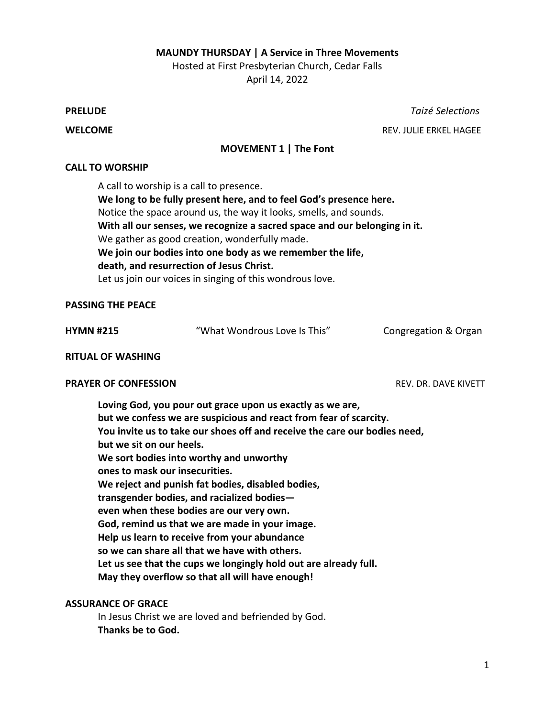## **MAUNDY THURSDAY | A Service in Three Movements**

Hosted at First Presbyterian Church, Cedar Falls April 14, 2022

**WELCOME REV. JULIE ERKEL HAGEE** 

**PRELUDE** *Taizé Selections*

# **MOVEMENT 1 | The Font**

## **CALL TO WORSHIP**

A call to worship is a call to presence. **We long to be fully present here, and to feel God's presence here.** Notice the space around us, the way it looks, smells, and sounds. **With all our senses, we recognize a sacred space and our belonging in it.** We gather as good creation, wonderfully made. **We join our bodies into one body as we remember the life, death, and resurrection of Jesus Christ.**  Let us join our voices in singing of this wondrous love.

## **PASSING THE PEACE**

**HYMN #215** "What Wondrous Love Is This" Congregation & Organ

#### **RITUAL OF WASHING**

#### **PRAYER OF CONFESSION** *REV. DR. DAVE KIVETT*

**Loving God, you pour out grace upon us exactly as we are, but we confess we are suspicious and react from fear of scarcity. You invite us to take our shoes off and receive the care our bodies need, but we sit on our heels. We sort bodies into worthy and unworthy ones to mask our insecurities. We reject and punish fat bodies, disabled bodies, transgender bodies, and racialized bodies even when these bodies are our very own. God, remind us that we are made in your image. Help us learn to receive from your abundance so we can share all that we have with others. Let us see that the cups we longingly hold out are already full. May they overflow so that all will have enough!** 

# **ASSURANCE OF GRACE**

In Jesus Christ we are loved and befriended by God. **Thanks be to God.**